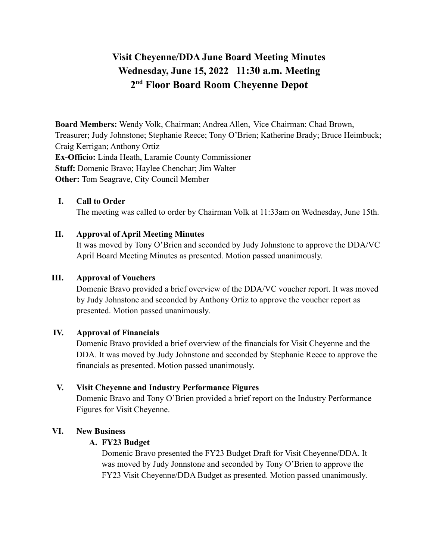# **Visit Cheyenne/DDA June Board Meeting Minutes Wednesday, June 15, 2022 11:30 a.m. Meeting 2 nd Floor Board Room Cheyenne Depot**

**Board Members:** Wendy Volk, Chairman; Andrea Allen, Vice Chairman; Chad Brown, Treasurer; Judy Johnstone; Stephanie Reece; Tony O'Brien; Katherine Brady; Bruce Heimbuck; Craig Kerrigan; Anthony Ortiz **Ex-Officio:** Linda Heath, Laramie County Commissioner **Staff:** Domenic Bravo; Haylee Chenchar; Jim Walter **Other:** Tom Seagrave, City Council Member

#### **I. Call to Order**

The meeting was called to order by Chairman Volk at 11:33am on Wednesday, June 15th.

#### **II. Approval of April Meeting Minutes**

It was moved by Tony O'Brien and seconded by Judy Johnstone to approve the DDA/VC April Board Meeting Minutes as presented. Motion passed unanimously.

#### **III. Approval of Vouchers**

Domenic Bravo provided a brief overview of the DDA/VC voucher report. It was moved by Judy Johnstone and seconded by Anthony Ortiz to approve the voucher report as presented. Motion passed unanimously.

#### **IV. Approval of Financials**

Domenic Bravo provided a brief overview of the financials for Visit Cheyenne and the DDA. It was moved by Judy Johnstone and seconded by Stephanie Reece to approve the financials as presented. Motion passed unanimously.

## **V. Visit Cheyenne and Industry Performance Figures**

Domenic Bravo and Tony O'Brien provided a brief report on the Industry Performance Figures for Visit Cheyenne.

## **VI. New Business**

#### **A. FY23 Budget**

Domenic Bravo presented the FY23 Budget Draft for Visit Cheyenne/DDA. It was moved by Judy Jonnstone and seconded by Tony O'Brien to approve the FY23 Visit Cheyenne/DDA Budget as presented. Motion passed unanimously.